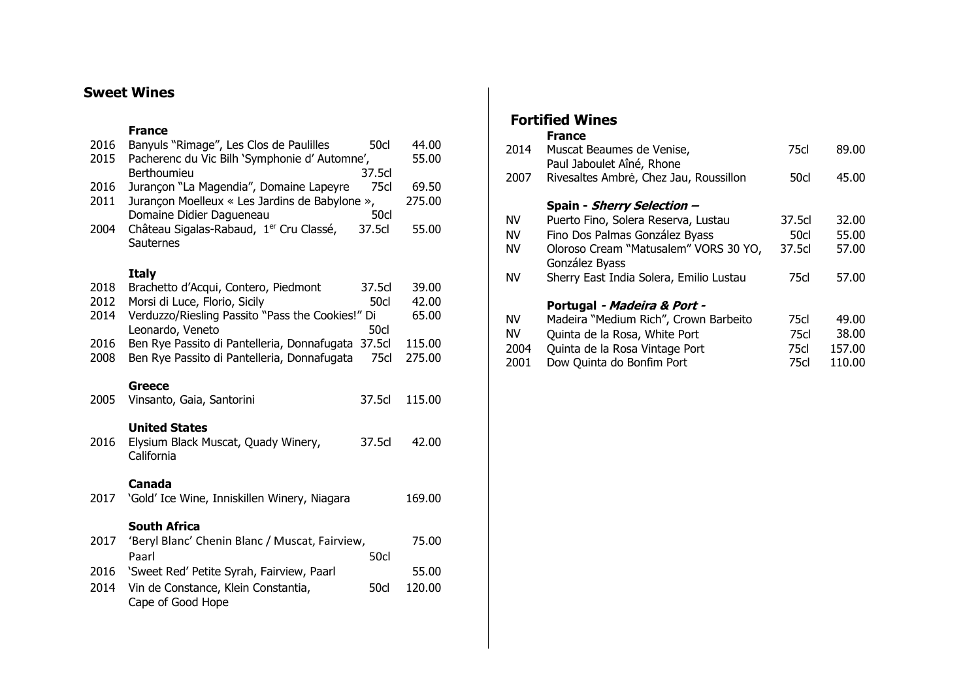# **Sweet Wines**

#### **France**

| 2016<br>2015 | Banyuls "Rimage", Les Clos de Paulilles<br>Pacherenc du Vic Bilh 'Symphonie d' Automne',<br>Berthoumieu               | <b>50cl</b><br>37.5cl | 44.00<br>55.00  |
|--------------|-----------------------------------------------------------------------------------------------------------------------|-----------------------|-----------------|
| 2016<br>2011 | Jurançon "La Magendia", Domaine Lapeyre<br>Jurançon Moelleux « Les Jardins de Babylone »,<br>Domaine Didier Dagueneau | 75cl<br>50cl          | 69.50<br>275.00 |
| 2004         | Château Sigalas-Rabaud, 1 <sup>er</sup> Cru Classé,<br>Sauternes                                                      | 37.5cl                | 55.00           |
|              | <b>Italy</b>                                                                                                          |                       |                 |
| 2018         | Brachetto d'Acqui, Contero, Piedmont                                                                                  | 37.5cl                | 39.00           |
| 2012         | Morsi di Luce, Florio, Sicily                                                                                         | 50cl                  | 42.00           |
| 2014         | Verduzzo/Riesling Passito "Pass the Cookies!" Di<br>Leonardo, Veneto                                                  | 50cl                  | 65.00           |
| 2016         | Ben Rye Passito di Pantelleria, Donnafugata                                                                           | 37.5cl                | 115.00          |
| 2008         | Ben Rye Passito di Pantelleria, Donnafugata                                                                           | 75cl                  | 275.00          |
|              |                                                                                                                       |                       |                 |
|              | Greece                                                                                                                |                       |                 |
| 2005         | Vinsanto, Gaia, Santorini                                                                                             | 37.5cl                | 115.00          |
|              | <b>United States</b>                                                                                                  |                       |                 |
| 2016         | Elysium Black Muscat, Quady Winery,                                                                                   | 37.5cl                | 42.00           |
|              | California                                                                                                            |                       |                 |
|              |                                                                                                                       |                       |                 |
| 2017         | Canada<br>'Gold' Ice Wine, Inniskillen Winery, Niagara                                                                |                       | 169.00          |
|              |                                                                                                                       |                       |                 |
|              | <b>South Africa</b>                                                                                                   |                       |                 |
| 2017         | 'Beryl Blanc' Chenin Blanc / Muscat, Fairview,                                                                        |                       | 75.00           |
|              | Paarl                                                                                                                 | 50cl                  |                 |
| 2016         | 'Sweet Red' Petite Syrah, Fairview, Paarl                                                                             |                       | 55.00           |
| 2014         | Vin de Constance, Klein Constantia,<br>Cape of Good Hope                                                              | 50cl                  | 120.00          |

# **Fortified Wines**

# **France**

| 2014 | Muscat Beaumes de Venise,<br>Paul Jaboulet Aîné, Rhone  | 75cl   | 89.00  |  |
|------|---------------------------------------------------------|--------|--------|--|
| 2007 | Rivesaltes Ambrė, Chez Jau, Roussillon                  | 50cl   | 45.00  |  |
|      | Spain - Sherry Selection -                              |        |        |  |
| ΝV   | Puerto Fino, Solera Reserva, Lustau                     | 37.5cl | 32.00  |  |
| NV   | Fino Dos Palmas González Byass                          | 50cl   | 55.00  |  |
| ΝV   | Oloroso Cream "Matusalem" VORS 30 YO,<br>González Byass | 37.5cl | 57.00  |  |
| NV   | Sherry East India Solera, Emilio Lustau                 | 75cl   | 57.00  |  |
|      | Portugal - Madeira & Port -                             |        |        |  |
| NV   | Madeira "Medium Rich", Crown Barbeito                   | 75cl   | 49.00  |  |
| NV   | Quinta de la Rosa, White Port                           | 75cl   | 38.00  |  |
| 2004 | Quinta de la Rosa Vintage Port                          | 75cl   | 157.00 |  |
| 2001 | Dow Quinta do Bonfim Port                               | 75cl   | 110.00 |  |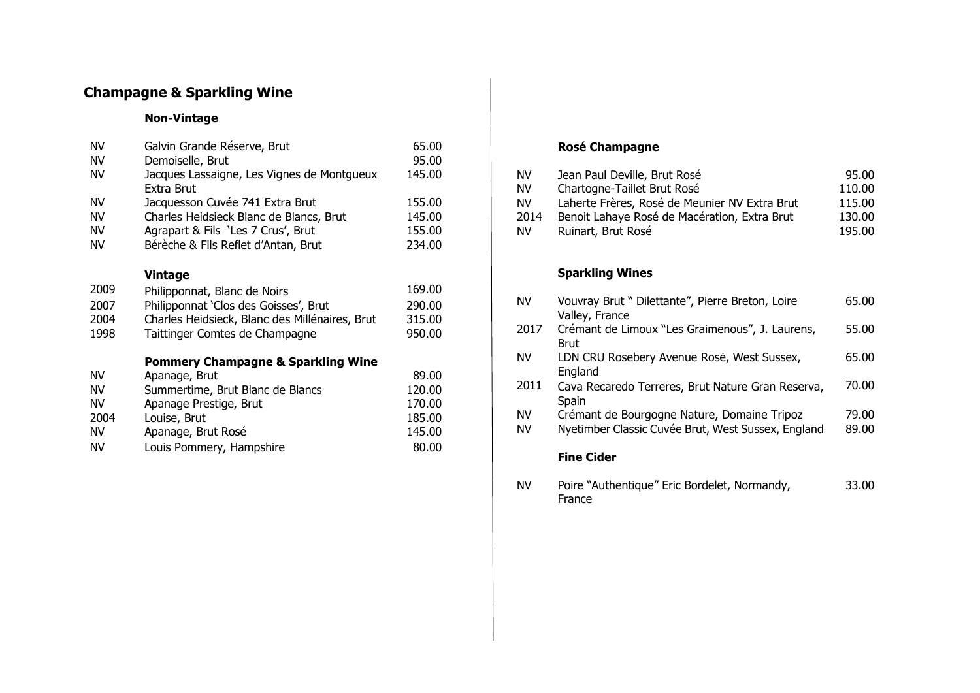# **Champagne & Sparkling Wine**

### **Non-Vintage**

| <b>NV</b> | Galvin Grande Réserve, Brut                                    | 65.00  |
|-----------|----------------------------------------------------------------|--------|
| <b>NV</b> | Demoiselle, Brut                                               | 95.00  |
| <b>NV</b> | Jacques Lassaigne, Les Vignes de Montgueux<br>Extra Brut       | 145.00 |
| <b>NV</b> | Jacquesson Cuvée 741 Extra Brut                                | 155.00 |
| <b>NV</b> | Charles Heidsieck Blanc de Blancs, Brut                        | 145.00 |
| <b>NV</b> | Agrapart & Fils 'Les 7 Crus', Brut                             | 155.00 |
| NV        | Bérèche & Fils Reflet d'Antan, Brut                            | 234.00 |
| 2009      | <b>Vintage</b><br>Philipponnat, Blanc de Noirs                 | 169.00 |
| 2007      | Philipponnat 'Clos des Goisses', Brut                          | 290.00 |
| 2004      | Charles Heidsieck, Blanc des Millénaires, Brut                 | 315.00 |
| 1998      | Taittinger Comtes de Champagne                                 | 950.00 |
|           |                                                                |        |
| NV.       | <b>Pommery Champagne &amp; Sparkling Wine</b><br>Apanage, Brut | 89.00  |
| <b>NV</b> | Summertime, Brut Blanc de Blancs                               | 120.00 |
| <b>NV</b> | Apanage Prestige, Brut                                         | 170.00 |
| 2004      | Louise, Brut                                                   | 185.00 |
| <b>NV</b> | Apanage, Brut Rosé                                             | 145.00 |
| NV        |                                                                | 80.00  |
|           | Louis Pommery, Hampshire                                       |        |

## **Rosé Champagne**

| NV   | Jean Paul Deville, Brut Rosé                  | 95.00  |
|------|-----------------------------------------------|--------|
| NV   | Chartogne-Taillet Brut Rosé                   | 110.00 |
| NV   | Laherte Frères, Rosé de Meunier NV Extra Brut | 115.00 |
| 2014 | Benoit Lahaye Rosé de Macération, Extra Brut  | 130.00 |
| NV   | Ruinart, Brut Rosé                            | 195.00 |

## **Sparkling Wines**

| <b>NV</b>       | Vouvray Brut " Dilettante", Pierre Breton, Loire<br>Valley, France                                | 65.00          |
|-----------------|---------------------------------------------------------------------------------------------------|----------------|
| 2017            | Crémant de Limoux "Les Graimenous", J. Laurens,<br>Brut                                           | 55.00          |
| <b>NV</b>       | LDN CRU Rosebery Avenue Rosė, West Sussex,<br>England                                             | 65.00          |
| 2011            | Cava Recaredo Terreres, Brut Nature Gran Reserva,<br>Spain                                        | 70.00          |
| <b>NV</b><br>NV | Crémant de Bourgogne Nature, Domaine Tripoz<br>Nyetimber Classic Cuvée Brut, West Sussex, England | 79.00<br>89.00 |
|                 | <b>Fine Cider</b>                                                                                 |                |
|                 |                                                                                                   |                |

NV Poire "Authentique" Eric Bordelet, Normandy, France 33.00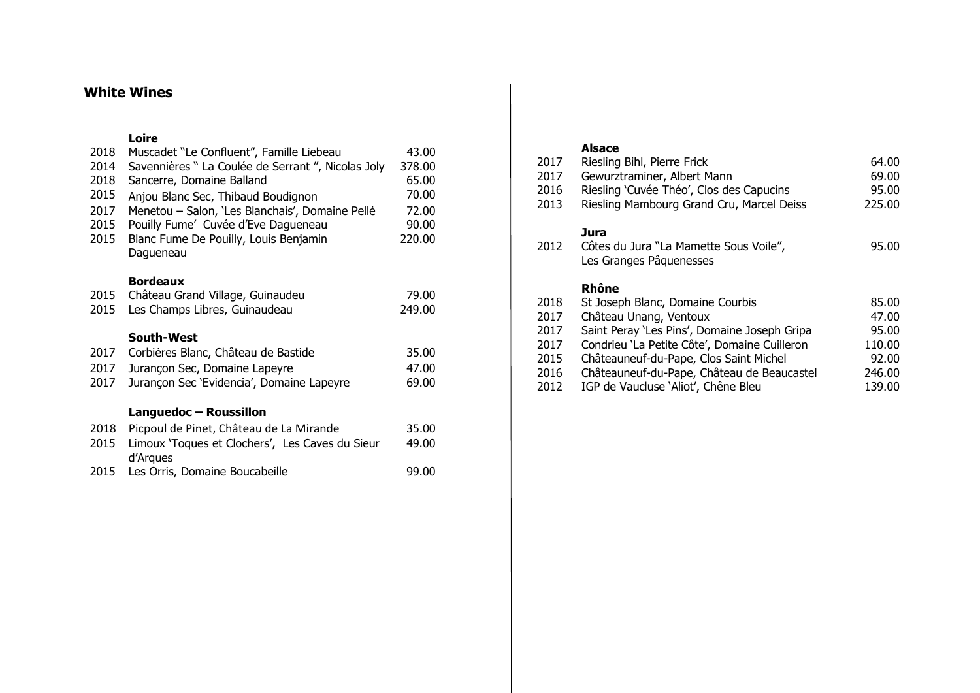# **White Wines**

### **Loire**

| 2018 | Muscadet "Le Confluent", Famille Liebeau           | 43.00  |  |
|------|----------------------------------------------------|--------|--|
| 2014 | Savennières " La Coulée de Serrant ", Nicolas Joly | 378.00 |  |
| 2018 | Sancerre, Domaine Balland                          | 65.00  |  |
| 2015 | Anjou Blanc Sec, Thibaud Boudignon                 | 70.00  |  |
| 2017 | Menetou - Salon, 'Les Blanchais', Domaine Pelle    | 72.00  |  |
| 2015 | Pouilly Fume' Cuvée d'Eve Dagueneau                | 90.00  |  |
| 2015 | Blanc Fume De Pouilly, Louis Benjamin              | 220.00 |  |
|      | Dagueneau                                          |        |  |
|      |                                                    |        |  |
|      | <b>Bordeaux</b>                                    |        |  |
| 2015 | Château Grand Village, Guinaudeu                   | 79.00  |  |
| 2015 | Les Champs Libres, Guinaudeau                      | 249.00 |  |
|      |                                                    |        |  |
|      |                                                    |        |  |
|      | South-West                                         |        |  |
| 2017 | Corbières Blanc, Château de Bastide                | 35.00  |  |
| 2017 | Jurançon Sec, Domaine Lapeyre                      | 47.00  |  |
| 2017 | Jurançon Sec 'Evidencia', Domaine Lapeyre          | 69.00  |  |
|      |                                                    |        |  |
|      | Languedoc - Roussillon                             |        |  |
| 2018 | Picpoul de Pinet, Château de La Mirande            | 35.00  |  |
| 2015 | Limoux 'Toques et Clochers', Les Caves du Sieur    | 49.00  |  |
| 2015 | d'Arques<br>Les Orris, Domaine Boucabeille         | 99.00  |  |

### **Alsace**

| 2017 | Riesling Bihl, Pierre Frick                                               | 64.00  |
|------|---------------------------------------------------------------------------|--------|
| 2017 | Gewurztraminer, Albert Mann                                               | 69.00  |
| 2016 | Riesling 'Cuvée Théo', Clos des Capucins                                  | 95.00  |
| 2013 | Riesling Mambourg Grand Cru, Marcel Deiss                                 | 225.00 |
| 2012 | Jura<br>Côtes du Jura "La Mamette Sous Voile",<br>Les Granges Pâquenesses | 95.00  |
|      |                                                                           |        |
|      | Rhône                                                                     |        |
| 2018 | St Joseph Blanc, Domaine Courbis                                          | 85.00  |
| 2017 | Château Unang, Ventoux                                                    | 47.00  |
| 2017 | Saint Peray 'Les Pins', Domaine Joseph Gripa                              | 95.00  |
| 2017 | Condrieu 'La Petite Côte', Domaine Cuilleron                              | 110.00 |
| 2015 | Châteauneuf-du-Pape, Clos Saint Michel                                    | 92.00  |
| 2016 | Châteauneuf-du-Pape, Château de Beaucastel                                | 246.00 |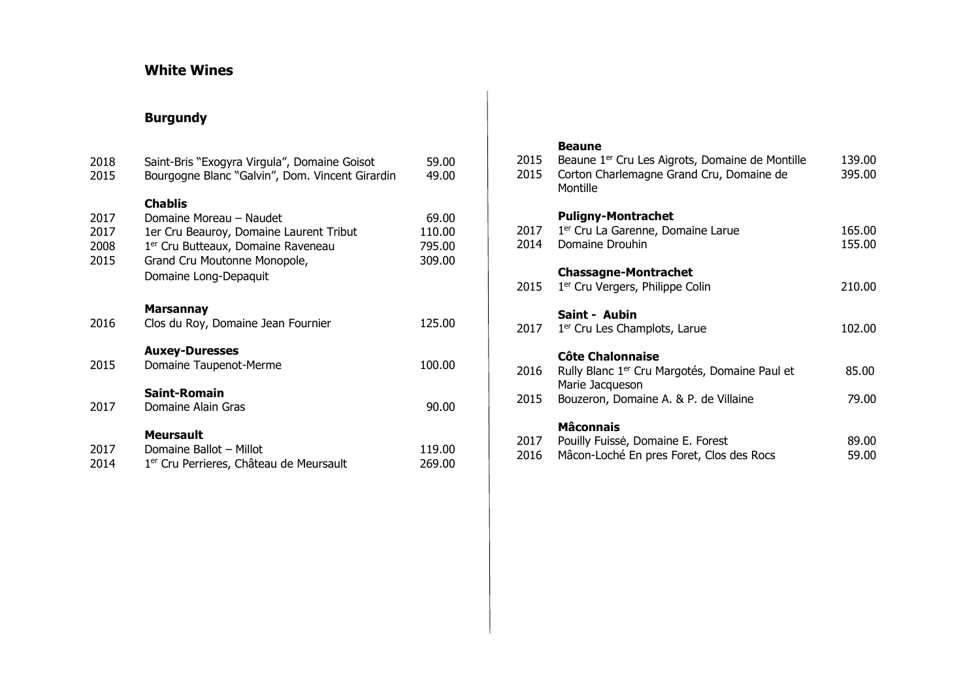# **White Wines**

# **Burgundy**

| 2018<br>2015                 | Saint-Bris "Exogyra Virgula", Domaine Goisot<br>Bourgogne Blanc "Galvin", Dom. Vincent Girardin                                                                                                 | 59.00<br>49.00                      |
|------------------------------|-------------------------------------------------------------------------------------------------------------------------------------------------------------------------------------------------|-------------------------------------|
| 2017<br>2017<br>2008<br>2015 | <b>Chablis</b><br>Domaine Moreau - Naudet<br>1er Cru Beauroy, Domaine Laurent Tribut<br>1 <sup>er</sup> Cru Butteaux, Domaine Raveneau<br>Grand Cru Moutonne Monopole,<br>Domaine Long-Depaquit | 69.00<br>110.00<br>795.00<br>309.00 |
| 2016                         | <b>Marsannay</b><br>Clos du Roy, Domaine Jean Fournier                                                                                                                                          | 125.00                              |
| 2015                         | <b>Auxey-Duresses</b><br>Domaine Taupenot-Merme                                                                                                                                                 | 100.00                              |
| 2017                         | Saint-Romain<br>Domaine Alain Gras                                                                                                                                                              | 90.00                               |
| 2017<br>2014                 | <b>Meursault</b><br>Domaine Ballot - Millot<br>1 <sup>er</sup> Cru Perrieres, Château de Meursault                                                                                              | 119.00<br>269.00                    |

### **Beaune**

| 2015<br>2015 | Beaune 1 <sup>er</sup> Cru Les Aigrots, Domaine de Montille<br>Corton Charlemagne Grand Cru, Domaine de<br>Montille                       | 139.00<br>395.00 |
|--------------|-------------------------------------------------------------------------------------------------------------------------------------------|------------------|
| 2017<br>2014 | <b>Puligny-Montrachet</b><br>1 <sup>er</sup> Cru La Garenne, Domaine Larue<br>Domaine Drouhin                                             | 165.00<br>155.00 |
| 2015         | <b>Chassagne-Montrachet</b><br>1 <sup>er</sup> Cru Vergers, Philippe Colin                                                                | 210.00           |
| 2017         | Saint - Aubin<br>1 <sup>er</sup> Cru Les Champlots, Larue                                                                                 | 102.00           |
| 2016<br>2015 | Côte Chalonnaise<br>Rully Blanc 1 <sup>er</sup> Cru Margotés, Domaine Paul et<br>Marie Jacqueson<br>Bouzeron, Domaine A. & P. de Villaine | 85.00<br>79.00   |
| 2017<br>2016 | <b>Mâconnais</b><br>Pouilly Fuisse, Domaine E. Forest<br>Mâcon-Loché En pres Foret, Clos des Rocs                                         | 89.00<br>59.00   |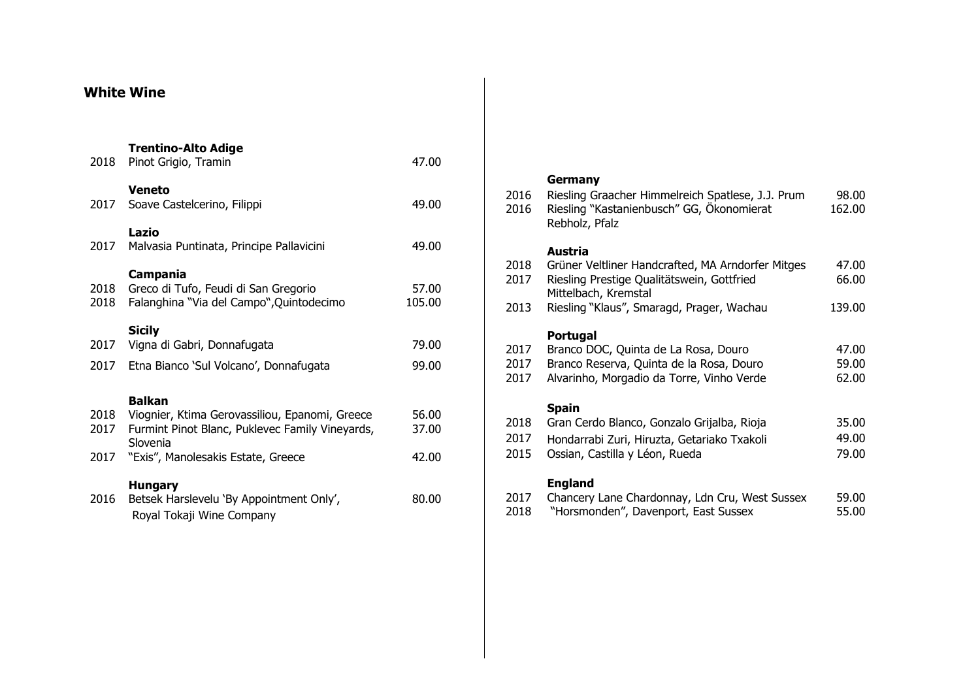# **White Wine**

| 2018         | <b>Trentino-Alto Adige</b><br>Pinot Grigio, Tramin                                                                             | 47.00           |
|--------------|--------------------------------------------------------------------------------------------------------------------------------|-----------------|
| 2017         | <b>Veneto</b><br>Soave Castelcerino, Filippi                                                                                   | 49.00           |
| 2017         | Lazio<br>Malvasia Puntinata, Principe Pallavicini                                                                              | 49.00           |
| 2018<br>2018 | Campania<br>Greco di Tufo, Feudi di San Gregorio<br>Falanghina "Via del Campo", Quintodecimo                                   | 57.00<br>105.00 |
| 2017         | <b>Sicily</b><br>Vigna di Gabri, Donnafugata                                                                                   | 79.00           |
| 2017         | Etna Bianco 'Sul Volcano', Donnafugata                                                                                         | 99.00           |
| 2018<br>2017 | <b>Balkan</b><br>Viognier, Ktima Gerovassiliou, Epanomi, Greece<br>Furmint Pinot Blanc, Puklevec Family Vineyards,<br>Slovenia | 56.00<br>37.00  |
| 2017         | "Exis", Manolesakis Estate, Greece                                                                                             | 42.00           |
| 2016         | <b>Hungary</b><br>Betsek Harslevelu 'By Appointment Only',<br>Royal Tokaji Wine Company                                        | 80.00           |

| 2016<br>2016 | Germany<br>Riesling Graacher Himmelreich Spatlese, J.J. Prum<br>Riesling "Kastanienbusch" GG, Ökonomierat<br>Rebholz, Pfalz | 98.00<br>162.00 |  |
|--------------|-----------------------------------------------------------------------------------------------------------------------------|-----------------|--|
|              | Austria                                                                                                                     |                 |  |
| 2018         | Grüner Veltliner Handcrafted, MA Arndorfer Mitges                                                                           | 47.00           |  |
| 2017         | Riesling Prestige Qualitätswein, Gottfried<br>Mittelbach, Kremstal                                                          | 66.00           |  |
| 2013         | Riesling "Klaus", Smaragd, Prager, Wachau                                                                                   | 139.00          |  |
|              | Portugal                                                                                                                    |                 |  |
| 2017         | Branco DOC, Quinta de La Rosa, Douro                                                                                        | 47.00           |  |
| 2017         | Branco Reserva, Quinta de la Rosa, Douro                                                                                    | 59.00           |  |
| 2017         | Alvarinho, Morgadio da Torre, Vinho Verde                                                                                   | 62.00           |  |
|              | <b>Spain</b>                                                                                                                |                 |  |
| 2018         | Gran Cerdo Blanco, Gonzalo Grijalba, Rioja                                                                                  | 35.00           |  |
| 2017         | Hondarrabi Zuri, Hiruzta, Getariako Txakoli                                                                                 | 49.00           |  |
| 2015         | Ossian, Castilla y Léon, Rueda                                                                                              | 79.00           |  |
|              | <b>England</b>                                                                                                              |                 |  |
| 2017         | Chancery Lane Chardonnay, Ldn Cru, West Sussex                                                                              | 59.00           |  |
| 2018         | "Horsmonden", Davenport, East Sussex                                                                                        | 55.00           |  |
|              |                                                                                                                             |                 |  |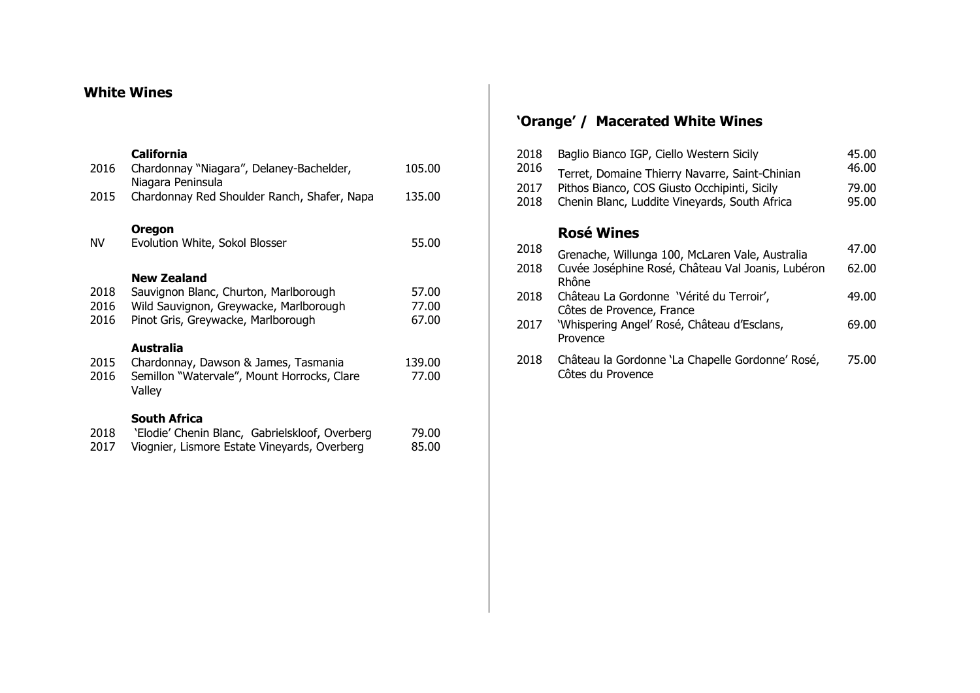# **White Wines**

### **California**

| 2016                 | Chardonnay "Niagara", Delaney-Bachelder,<br>Niagara Peninsula                                                                        | 105.00                  |
|----------------------|--------------------------------------------------------------------------------------------------------------------------------------|-------------------------|
| 2015                 | Chardonnay Red Shoulder Ranch, Shafer, Napa                                                                                          | 135.00                  |
| ΝV                   | <b>Oregon</b><br>Evolution White, Sokol Blosser                                                                                      | 55.00                   |
| 2018<br>2016<br>2016 | New Zealand<br>Sauvignon Blanc, Churton, Marlborough<br>Wild Sauvignon, Greywacke, Marlborough<br>Pinot Gris, Greywacke, Marlborough | 57.00<br>77.00<br>67.00 |
| 2015<br>2016         | Australia<br>Chardonnay, Dawson & James, Tasmania<br>Semillon "Watervale", Mount Horrocks, Clare<br>Valley                           | 139.00<br>77.00         |
| 2018<br>2017         | <b>South Africa</b><br>'Elodie' Chenin Blanc, Gabrielskloof, Overberg<br>Viognier, Lismore Estate Vineyards, Overberg                | 79.00<br>85.00          |

# **'Orange' / Macerated White Wines**

| 2018 | Baglio Bianco IGP, Ciello Western Sicily                              | 45.00 |
|------|-----------------------------------------------------------------------|-------|
| 2016 | Terret, Domaine Thierry Navarre, Saint-Chinian                        | 46.00 |
| 2017 | Pithos Bianco, COS Giusto Occhipinti, Sicily                          | 79.00 |
| 2018 | Chenin Blanc, Luddite Vineyards, South Africa                         | 95.00 |
|      | <b>Rosé Wines</b>                                                     |       |
| 2018 | Grenache, Willunga 100, McLaren Vale, Australia                       | 47.00 |
| 2018 | Cuvée Joséphine Rosé, Château Val Joanis, Lubéron<br>Rhône            | 62.00 |
| 2018 | Château La Gordonne 'Vérité du Terroir',<br>Côtes de Provence, France | 49.00 |
| 2017 | 'Whispering Angel' Rosé, Château d'Esclans,<br>Provence               | 69.00 |
| 2018 | Château la Gordonne 'La Chapelle Gordonne' Rosé,<br>Côtes du Provence | 75.00 |
|      |                                                                       |       |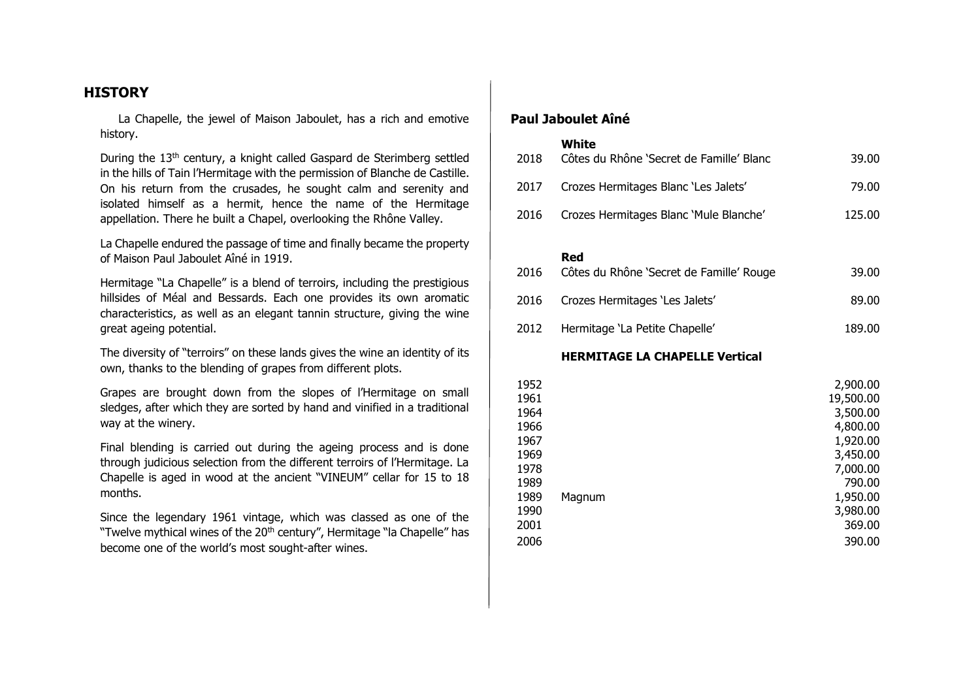### **HISTORY**

 La Chapelle, the jewel of Maison Jaboulet, has a rich and emotive history.

During the 13<sup>th</sup> century, a knight called Gaspard de Sterimberg settled in the hills of Tain l'Hermitage with the permission of Blanche de Castille. On his return from the crusades, he sought calm and serenity and isolated himself as a hermit, hence the name of the Hermitage appellation. There he built a Chapel, overlooking the Rhône Valley.

La Chapelle endured the passage of time and finally became the property of Maison Paul Jaboulet Aîné in 1919.

Hermitage "La Chapelle" is a blend of terroirs, including the prestigious hillsides of Méal and Bessards. Each one provides its own aromatic characteristics, as well as an elegant tannin structure, giving the wine great ageing potential.

The diversity of "terroirs" on these lands gives the wine an identity of its own, thanks to the blending of grapes from different plots.

Grapes are brought down from the slopes of l'Hermitage on small sledges, after which they are sorted by hand and vinified in a traditional way at the winery.

Final blending is carried out during the ageing process and is done through judicious selection from the different terroirs of l'Hermitage. La Chapelle is aged in wood at the ancient "VINEUM" cellar for 15 to 18 months.

Since the legendary 1961 vintage, which was classed as one of the "Twelve mythical wines of the 20<sup>th</sup> century", Hermitage "la Chapelle" has become one of the world's most sought-after wines.

### **Paul Jaboulet Aîné**

#### **White**

| 2018 | Côtes du Rhône 'Secret de Famille' Blanc | 39.00  |
|------|------------------------------------------|--------|
| 2017 | Crozes Hermitages Blanc 'Les Jalets'     | 79.00  |
| 2016 | Crozes Hermitages Blanc 'Mule Blanche'   | 125.00 |

#### **Red**

| 2016 | Côtes du Rhône 'Secret de Famille' Rouge | 39.00  |
|------|------------------------------------------|--------|
|      | 2016 Crozes Hermitages 'Les Jalets'      | 89.00  |
| 2012 | Hermitage 'La Petite Chapelle'           | 189.00 |

#### **HERMITAGE LA CHAPELLE Vertical**

| 1952 |        | 2,900.00  |
|------|--------|-----------|
| 1961 |        | 19,500.00 |
| 1964 |        | 3,500.00  |
| 1966 |        | 4,800.00  |
| 1967 |        | 1,920.00  |
| 1969 |        | 3,450.00  |
| 1978 |        | 7,000.00  |
| 1989 |        | 790.00    |
| 1989 | Magnum | 1,950.00  |
| 1990 |        | 3,980.00  |
| 2001 |        | 369.00    |
| 2006 |        | 390.00    |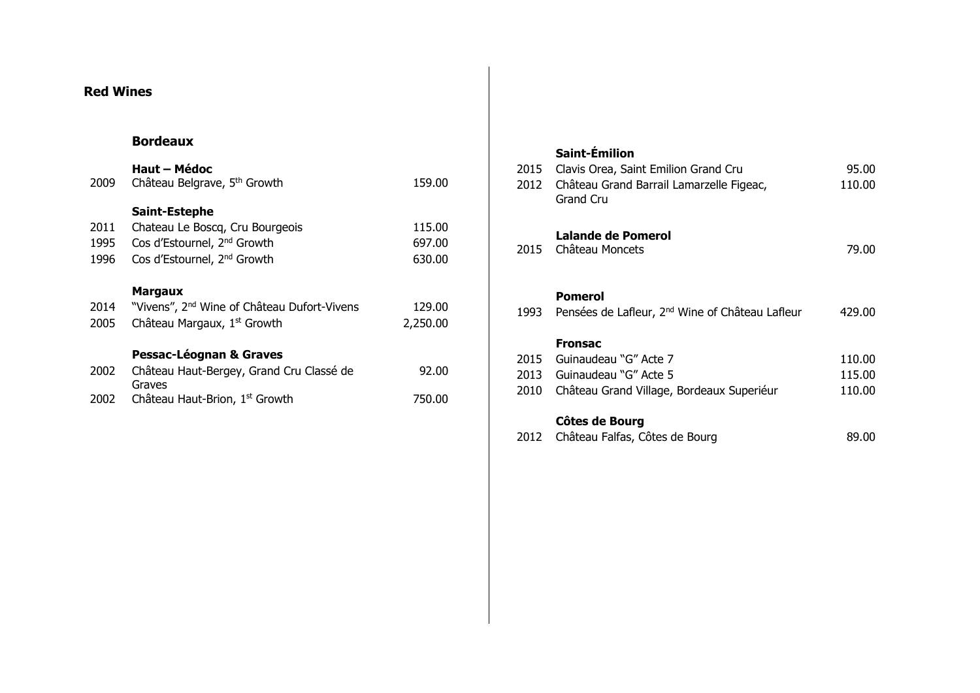# **Red Wines**

## **Bordeaux**

#### **Haut – Médoc**

| 2009 | Château Belgrave, 5 <sup>th</sup> Growth                | 159.00   |
|------|---------------------------------------------------------|----------|
|      | Saint-Estephe                                           |          |
| 2011 | Chateau Le Boscq, Cru Bourgeois                         | 115.00   |
| 1995 | Cos d'Estournel, 2 <sup>nd</sup> Growth                 | 697.00   |
| 1996 | Cos d'Estournel, 2 <sup>nd</sup> Growth                 | 630.00   |
|      | <b>Margaux</b>                                          |          |
| 2014 | "Vivens", 2 <sup>nd</sup> Wine of Château Dufort-Vivens | 129.00   |
| 2005 | Château Margaux, 1 <sup>st</sup> Growth                 | 2,250.00 |
|      | <b>Pessac-Léognan &amp; Graves</b>                      |          |
| 2002 | Château Haut-Bergey, Grand Cru Classé de<br>Graves      | 92.00    |
| 2002 | Château Haut-Brion, 1st Growth                          | 750.00   |

# **Saint-Émilion**

| 2015<br>2012         | Clavis Orea, Saint Emilion Grand Cru<br>Château Grand Barrail Lamarzelle Figeac,<br><b>Grand Cru</b>          | 95.00<br>110.00            |
|----------------------|---------------------------------------------------------------------------------------------------------------|----------------------------|
|                      | <b>Lalande de Pomerol</b><br>2015 Château Moncets                                                             | 79.00                      |
|                      | <b>Pomerol</b><br>1993 Pensées de Lafleur, 2 <sup>nd</sup> Wine of Château Lafleur                            | 429.00                     |
| 2015<br>2013<br>2010 | <b>Fronsac</b><br>Guinaudeau "G" Acte 7<br>Guinaudeau "G" Acte 5<br>Château Grand Village, Bordeaux Superiéur | 110.00<br>115.00<br>110.00 |
|                      | Côtes de Bourg                                                                                                |                            |

| 2012 Château Falfas, Côtes de Bourg | 89.00 |
|-------------------------------------|-------|
|                                     |       |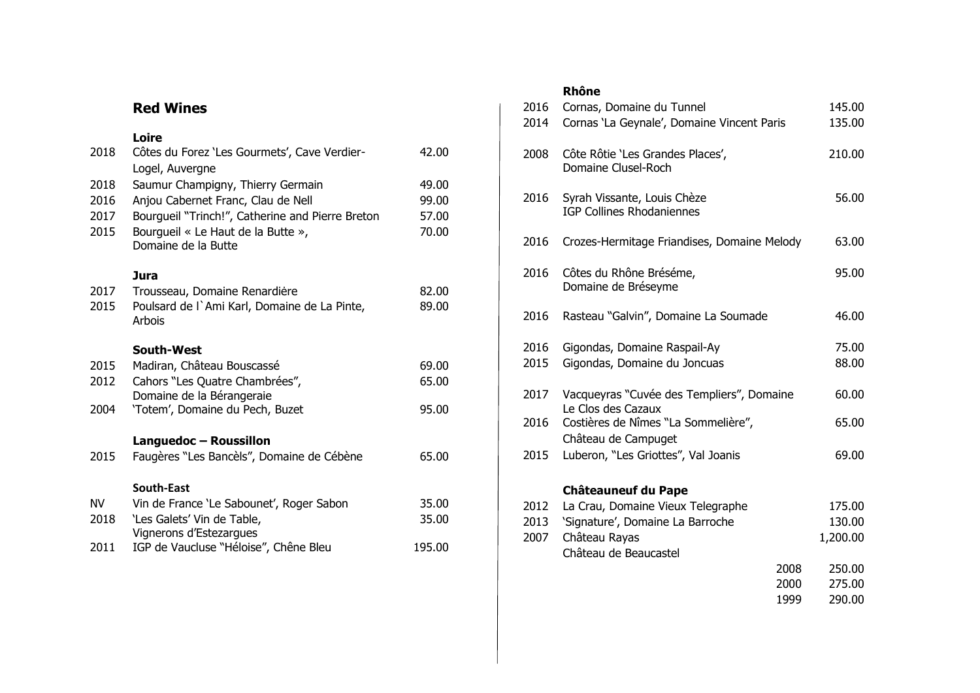# **Red Wines**

## **Loire**

| 2018      | Côtes du Forez 'Les Gourmets', Cave Verdier-              | 42.00  |
|-----------|-----------------------------------------------------------|--------|
|           | Logel, Auvergne                                           |        |
| 2018      | Saumur Champigny, Thierry Germain                         | 49.00  |
| 2016      | Anjou Cabernet Franc, Clau de Nell                        | 99.00  |
| 2017      | Bourgueil "Trinch!", Catherine and Pierre Breton          | 57.00  |
| 2015      | Bourgueil « Le Haut de la Butte »,<br>Domaine de la Butte | 70.00  |
|           | <b>Jura</b>                                               |        |
| 2017      | Trousseau, Domaine Renardière                             | 82.00  |
| 2015      | Poulsard de l'Ami Karl, Domaine de La Pinte,<br>Arbois    | 89.00  |
|           | <b>South-West</b>                                         |        |
| 2015      | Madiran, Château Bouscassé                                | 69.00  |
| 2012      | Cahors "Les Quatre Chambrées",                            | 65.00  |
|           | Domaine de la Bérangeraie                                 |        |
| 2004      | 'Totem', Domaine du Pech, Buzet                           | 95.00  |
|           | Languedoc - Roussillon                                    |        |
| 2015      | Faugères "Les Bancèls", Domaine de Cébène                 | 65.00  |
|           | South-East                                                |        |
| <b>NV</b> | Vin de France 'Le Sabounet', Roger Sabon                  | 35.00  |
| 2018      | 'Les Galets' Vin de Table,                                | 35.00  |
| 2011      | IGP de Vaucluse "Héloise", Chêne Bleu                     | 195.00 |
|           | Vignerons d'Estezargues                                   |        |
|           |                                                           |        |

## **Rhône**

| 2016<br>2014 | Cornas, Domaine du Tunnel<br>Cornas 'La Geynale', Domaine Vincent Paris |      | 145.00<br>135.00 |  |
|--------------|-------------------------------------------------------------------------|------|------------------|--|
| 2008         | Côte Rôtie 'Les Grandes Places',<br>Domaine Clusel-Roch                 |      | 210.00           |  |
| 2016         | Syrah Vissante, Louis Chèze<br><b>IGP Collines Rhodaniennes</b>         |      | 56.00            |  |
| 2016         | Crozes-Hermitage Friandises, Domaine Melody                             |      | 63.00            |  |
| 2016         | Côtes du Rhône Bréséme,<br>Domaine de Bréseyme                          |      | 95.00            |  |
| 2016         | Rasteau "Galvin", Domaine La Soumade                                    |      | 46.00            |  |
| 2016<br>2015 | Gigondas, Domaine Raspail-Ay<br>Gigondas, Domaine du Joncuas            |      | 75.00<br>88.00   |  |
| 2017         | Vacqueyras "Cuvée des Templiers", Domaine<br>Le Clos des Cazaux         |      | 60.00            |  |
| 2016         | Costières de Nîmes "La Sommelière",<br>Château de Campuget              |      | 65.00            |  |
| 2015         | Luberon, "Les Griottes", Val Joanis                                     |      | 69.00            |  |
|              | <b>Châteauneuf du Pape</b>                                              |      |                  |  |
| 2012         | La Crau, Domaine Vieux Telegraphe                                       |      | 175.00           |  |
| 2013         | 'Signature', Domaine La Barroche                                        |      | 130.00           |  |
| 2007         | Château Rayas<br>Château de Beaucastel                                  |      | 1,200.00         |  |
|              |                                                                         | 2008 | 250.00           |  |
|              |                                                                         | 2000 | 275.00           |  |
|              |                                                                         | 1999 | 290.00           |  |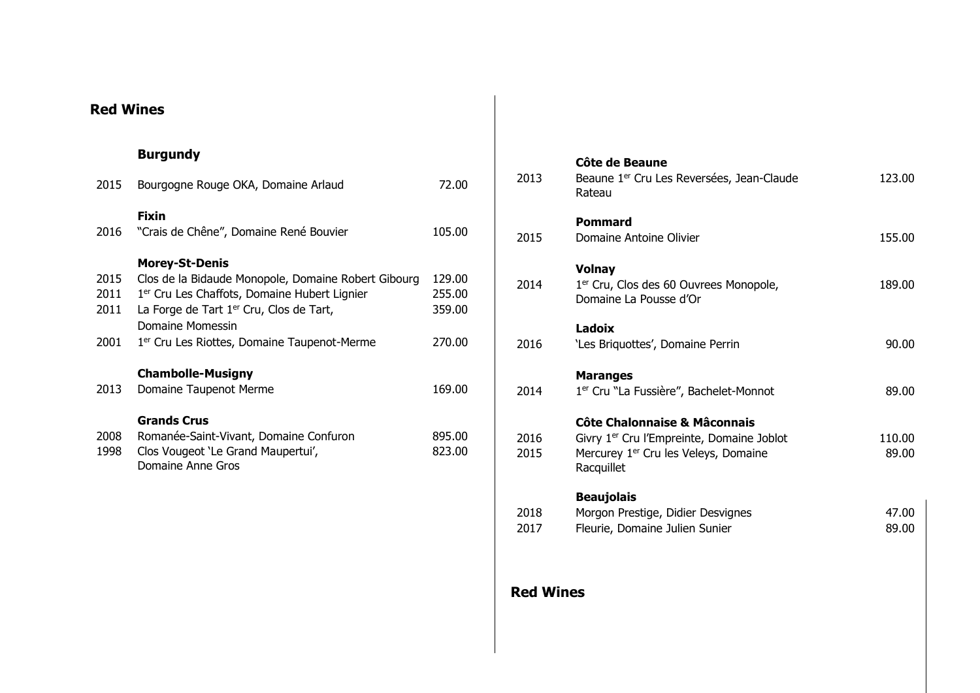# **Red Wines**

# **Burgundy**

| 2015 | Bourgogne Rouge OKA, Domaine Arlaud                      | 72.00  |
|------|----------------------------------------------------------|--------|
| 2016 | <b>Fixin</b><br>"Crais de Chêne", Domaine René Bouvier   | 105.00 |
|      | <b>Morey-St-Denis</b>                                    |        |
| 2015 | Clos de la Bidaude Monopole, Domaine Robert Gibourg      | 129.00 |
| 2011 | 1 <sup>er</sup> Cru Les Chaffots, Domaine Hubert Lignier | 255.00 |
| 2011 | La Forge de Tart 1 <sup>er</sup> Cru, Clos de Tart,      | 359.00 |
|      | Domaine Momessin                                         |        |
| 2001 | 1 <sup>er</sup> Cru Les Riottes, Domaine Taupenot-Merme  | 270.00 |
|      | <b>Chambolle-Musigny</b>                                 |        |
| 2013 | Domaine Taupenot Merme                                   | 169.00 |
|      | <b>Grands Crus</b>                                       |        |
| 2008 | Romanée-Saint-Vivant, Domaine Confuron                   | 895.00 |
| 1998 | Clos Vougeot 'Le Grand Maupertui',<br>Domaine Anne Gros  | 823.00 |

| 2013             | Côte de Beaune<br>Beaune 1 <sup>er</sup> Cru Les Reversées, Jean-Claude<br>Rateau                                                                                  | 123.00          |
|------------------|--------------------------------------------------------------------------------------------------------------------------------------------------------------------|-----------------|
| 2015             | Pommard<br>Domaine Antoine Olivier                                                                                                                                 | 155.00          |
| 2014             | <b>Volnay</b><br>1 <sup>er</sup> Cru, Clos des 60 Ouvrees Monopole,<br>Domaine La Pousse d'Or                                                                      | 189.00          |
| 2016             | Ladoix<br>'Les Briquottes', Domaine Perrin                                                                                                                         | 90.00           |
| 2014             | <b>Maranges</b><br>1 <sup>er</sup> Cru "La Fussière", Bachelet-Monnot                                                                                              | 89.00           |
| 2016<br>2015     | <b>Côte Chalonnaise &amp; Mâconnais</b><br>Givry 1 <sup>er</sup> Cru l'Empreinte, Domaine Joblot<br>Mercurey 1 <sup>er</sup> Cru les Veleys, Domaine<br>Racquillet | 110.00<br>89.00 |
| 2018<br>2017     | <b>Beaujolais</b><br>Morgon Prestige, Didier Desvignes<br>Fleurie, Domaine Julien Sunier                                                                           | 47.00<br>89.00  |
| <b>Red Wines</b> |                                                                                                                                                                    |                 |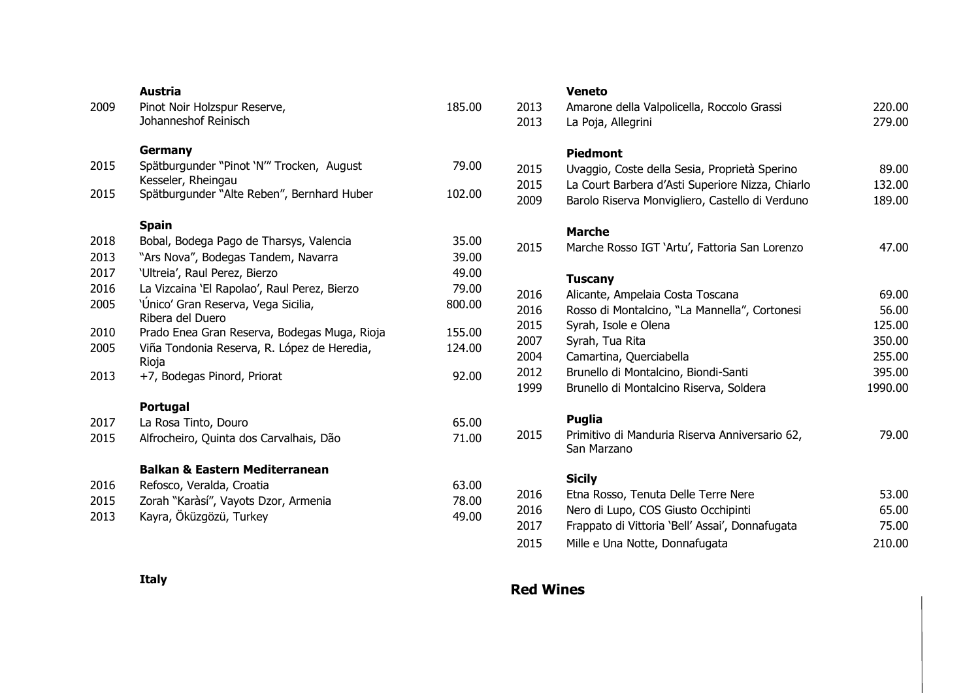| 2009 | Austria<br>Pinot Noir Holzspur Reserve,<br>Johanneshof Reinisch | 185.00 |
|------|-----------------------------------------------------------------|--------|
|      | <b>Germany</b>                                                  |        |
| 2015 | Spätburgunder "Pinot 'N‴ Trocken, August<br>Kesseler, Rheingau  | 79.00  |
| 2015 | Spätburgunder "Alte Reben", Bernhard Huber                      | 102.00 |
|      | <b>Spain</b>                                                    |        |
| 2018 | Bobal, Bodega Pago de Tharsys, Valencia                         | 35.00  |
| 2013 | "Ars Nova", Bodegas Tandem, Navarra                             | 39.00  |
| 2017 | 'Ultreia', Raul Perez, Bierzo                                   | 49.00  |
| 2016 | La Vizcaina 'El Rapolao', Raul Perez, Bierzo                    | 79.00  |
| 2005 | 'Único' Gran Reserva, Vega Sicilia,<br>Ribera del Duero         | 800.00 |
| 2010 | Prado Enea Gran Reserva, Bodegas Muga, Rioja                    | 155.00 |
| 2005 | Viña Tondonia Reserva, R. López de Heredia,<br>Rioja            | 124.00 |
| 2013 | +7, Bodegas Pinord, Priorat                                     | 92.00  |
|      | <b>Portugal</b>                                                 |        |
| 2017 | La Rosa Tinto, Douro                                            | 65.00  |
| 2015 | Alfrocheiro, Quinta dos Carvalhais, Dão                         | 71.00  |
|      | <b>Balkan &amp; Eastern Mediterranean</b>                       |        |
| 2016 | Refosco, Veralda, Croatia                                       | 63.00  |
| 2015 | Zorah "Karàsí", Vayots Dzor, Armenia                            | 78.00  |
| 2013 | Kayra, Öküzgözü, Turkey                                         | 49.00  |
|      |                                                                 |        |

### **Veneto**

| 2013<br>2013 | Amarone della Valpolicella, Roccolo Grassi<br>La Poja, Allegrini | 220.00<br>279.00 |
|--------------|------------------------------------------------------------------|------------------|
|              | <b>Piedmont</b>                                                  |                  |
| 2015         | Uvaggio, Coste della Sesia, Proprietà Sperino                    | 89.00            |
| 2015         | La Court Barbera d'Asti Superiore Nizza, Chiarlo                 | 132.00           |
| 2009         | Barolo Riserva Monvigliero, Castello di Verduno                  | 189.00           |
|              | <b>Marche</b>                                                    |                  |
| 2015         | Marche Rosso IGT 'Artu', Fattoria San Lorenzo                    | 47.00            |
|              | <b>Tuscany</b>                                                   |                  |
| 2016         | Alicante, Ampelaia Costa Toscana                                 | 69.00            |
| 2016         | Rosso di Montalcino, "La Mannella", Cortonesi                    | 56.00            |
| 2015         | Syrah, Isole e Olena                                             | 125.00           |
| 2007         | Syrah, Tua Rita                                                  | 350.00           |
| 2004         | Camartina, Querciabella                                          | 255.00           |
| 2012         | Brunello di Montalcino, Biondi-Santi                             | 395.00           |
| 1999         | Brunello di Montalcino Riserva, Soldera                          | 1990.00          |
|              | <b>Puglia</b>                                                    |                  |
| 2015         | Primitivo di Manduria Riserva Anniversario 62,<br>San Marzano    | 79.00            |
|              | <b>Sicily</b>                                                    |                  |
| 2016         | Etna Rosso, Tenuta Delle Terre Nere                              | 53.00            |
| 2016         | Nero di Lupo, COS Giusto Occhipinti                              | 65.00            |
| 2017         | Frappato di Vittoria 'Bell' Assai', Donnafugata                  | 75.00            |
| 2015         | Mille e Una Notte, Donnafugata                                   | 210.00           |
|              |                                                                  |                  |

**Italy**

# **Red Wines**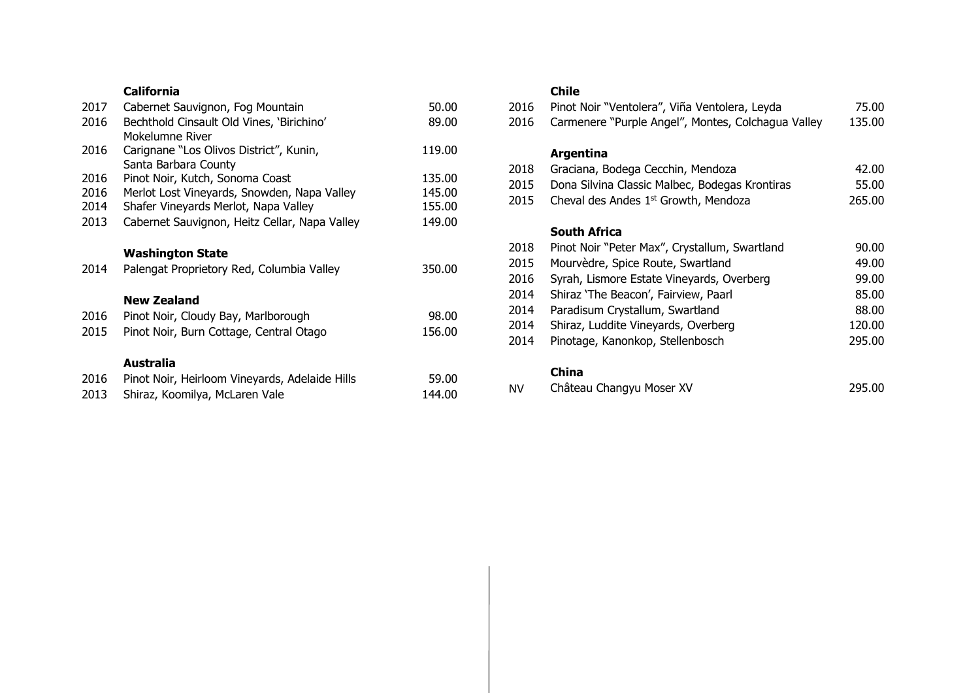## **California**

| 2017 | Cabernet Sauvignon, Fog Mountain              | 50.00  |
|------|-----------------------------------------------|--------|
| 2016 | Bechthold Cinsault Old Vines, 'Birichino'     | 89.00  |
|      | Mokelumne River                               |        |
| 2016 | Carignane "Los Olivos District", Kunin,       | 119.00 |
|      | Santa Barbara County                          |        |
| 2016 | Pinot Noir, Kutch, Sonoma Coast               | 135.00 |
| 2016 | Merlot Lost Vineyards, Snowden, Napa Valley   | 145.00 |
| 2014 | Shafer Vineyards Merlot, Napa Valley          | 155.00 |
| 2013 | Cabernet Sauvignon, Heitz Cellar, Napa Valley | 149.00 |
|      |                                               |        |
|      | <b>Washington State</b>                       |        |
| 2014 | Palengat Proprietory Red, Columbia Valley     | 350.00 |
|      |                                               |        |
|      | <b>New Zealand</b>                            |        |
| 2016 | Pinot Noir, Cloudy Bay, Marlborough           | 98.00  |
| 2015 | Pinot Noir, Burn Cottage, Central Otago       | 156.00 |
|      |                                               |        |
|      | Australia                                     |        |
|      |                                               |        |

| 2016 | Pinot Noir, Heirloom Vineyards, Adelaide Hills | 59.00  |
|------|------------------------------------------------|--------|
|      | 2013 Shiraz, Koomilya, McLaren Vale            | 144.00 |

## **Chile**

| 2016<br>2016 | Pinot Noir "Ventolera", Viña Ventolera, Leyda<br>Carmenere "Purple Angel", Montes, Colchagua Valley | 75.00<br>135.00 |
|--------------|-----------------------------------------------------------------------------------------------------|-----------------|
|              | Argentina                                                                                           |                 |
| 2018         | Graciana, Bodega Cecchin, Mendoza                                                                   | 42.00           |
| 2015         | Dona Silvina Classic Malbec, Bodegas Krontiras                                                      | 55.00           |
| 2015         | Cheval des Andes 1 <sup>st</sup> Growth, Mendoza                                                    | 265.00          |
|              |                                                                                                     |                 |
|              | South Africa                                                                                        |                 |
| 2018         | Pinot Noir "Peter Max", Crystallum, Swartland                                                       | 90.00           |
| 2015         | Mourvèdre, Spice Route, Swartland                                                                   | 49.00           |
| 2016         | Syrah, Lismore Estate Vineyards, Overberg                                                           | 99.00           |
| 2014         | Shiraz 'The Beacon', Fairview, Paarl                                                                | 85.00           |
| 2014         | Paradisum Crystallum, Swartland                                                                     | 88.00           |
| 2014         | Shiraz, Luddite Vineyards, Overberg                                                                 | 120.00          |
| 2014         | Pinotage, Kanonkop, Stellenbosch                                                                    | 295.00          |
|              | China                                                                                               |                 |

#### **China**

| Château Changyu Moser XV<br>N٧ |  | 295.00 |
|--------------------------------|--|--------|
|--------------------------------|--|--------|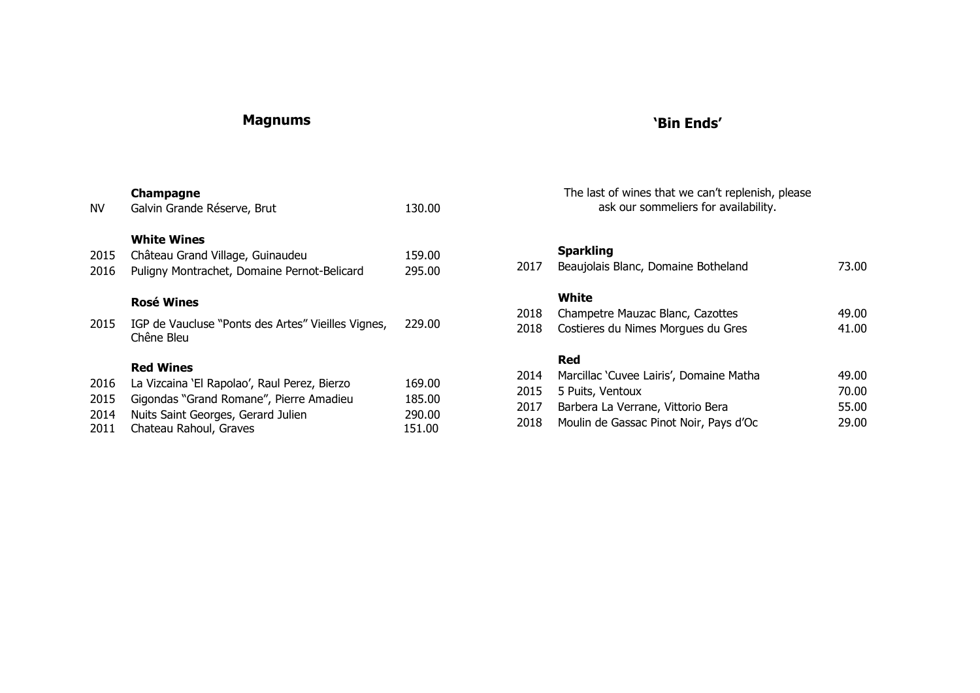# **Magnums**

# **'Bin Ends'**

|                      | Champagne                                                                                               |                            |
|----------------------|---------------------------------------------------------------------------------------------------------|----------------------------|
| NV.                  | Galvin Grande Réserve, Brut                                                                             | 130.00                     |
| 2015<br>2016         | <b>White Wines</b><br>Château Grand Village, Guinaudeu<br>Puligny Montrachet, Domaine Pernot-Belicard   | 159.00<br>295.00           |
|                      | <b>Rosé Wines</b>                                                                                       |                            |
| 2015                 | IGP de Vaucluse "Ponts des Artes" Vieilles Vignes,<br>Chêne Bleu                                        | 229.00                     |
|                      | <b>Red Wines</b>                                                                                        |                            |
| 2016                 | La Vizcaina 'El Rapolao', Raul Perez, Bierzo                                                            | 169.00                     |
| 2015<br>2014<br>2011 | Gigondas "Grand Romane", Pierre Amadieu<br>Nuits Saint Georges, Gerard Julien<br>Chateau Rahoul, Graves | 185.00<br>290.00<br>151.00 |
|                      |                                                                                                         |                            |

The last of wines that we can't replenish, please ask our sommeliers for availability.

## **Sparkling**

| 2017 | Beaujolais Blanc, Domaine Botheland     | 73.00 |
|------|-----------------------------------------|-------|
|      | White                                   |       |
| 2018 | Champetre Mauzac Blanc, Cazottes        | 49.00 |
| 2018 | Costieres du Nimes Morgues du Gres      | 41.00 |
|      | Red                                     |       |
| 2014 | Marcillac 'Cuvee Lairis', Domaine Matha | 49.00 |
| 2015 | 5 Puits, Ventoux                        | 70.00 |
| 2017 | Barbera La Verrane, Vittorio Bera       | 55.00 |
| 2018 | Moulin de Gassac Pinot Noir, Pays d'Oc  | 29.00 |
|      |                                         |       |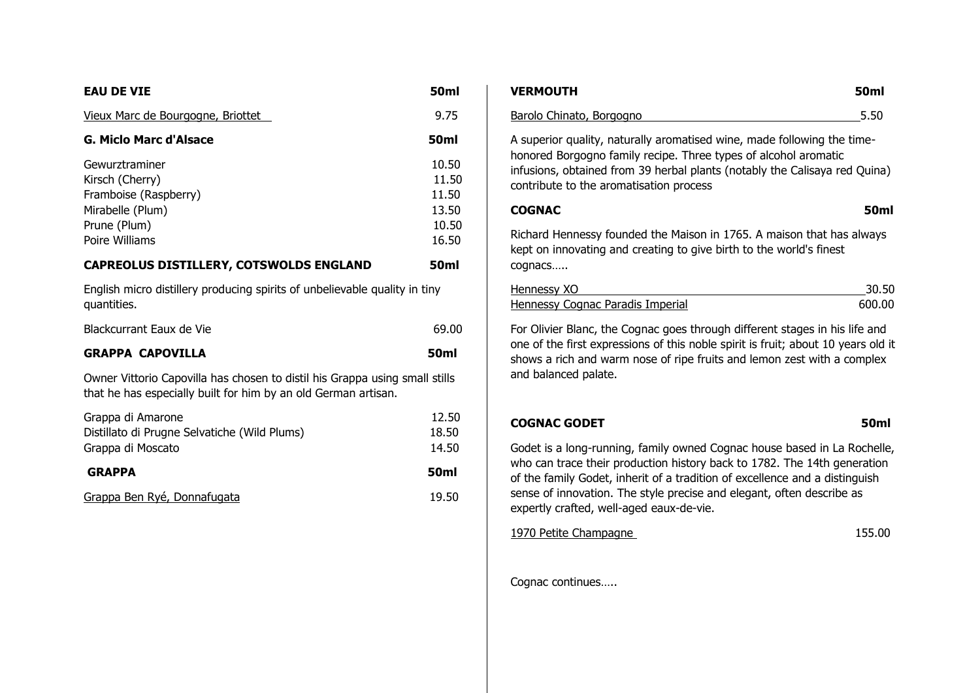| <b>EAU DE VIE</b>                                                                                                                             | 50ml                                               |
|-----------------------------------------------------------------------------------------------------------------------------------------------|----------------------------------------------------|
| Vieux Marc de Bourgogne, Briottet                                                                                                             | 9.75                                               |
| <b>G. Miclo Marc d'Alsace</b>                                                                                                                 | 50ml                                               |
| Gewurztraminer<br>Kirsch (Cherry)<br>Framboise (Raspberry)<br>Mirabelle (Plum)<br>Prune (Plum)<br>Poire Williams                              | 10.50<br>11.50<br>11.50<br>13.50<br>10.50<br>16.50 |
| <b>CAPREOLUS DISTILLERY, COTSWOLDS ENGLAND</b>                                                                                                | 50ml                                               |
| English micro distillery producing spirits of unbelievable quality in tiny<br>quantities.                                                     |                                                    |
| Blackcurrant Eaux de Vie                                                                                                                      | 69.00                                              |
| <b>GRAPPA CAPOVILLA</b>                                                                                                                       | <b>50ml</b>                                        |
| Owner Vittorio Capovilla has chosen to distil his Grappa using small stills<br>that he has especially built for him by an old German artisan. |                                                    |
| Grappa di Amarone<br>Distillato di Prugne Selvatiche (Wild Plums)<br>Grappa di Moscato                                                        | 12.50<br>18.50<br>14.50                            |
| <b>GRAPPA</b>                                                                                                                                 | <b>50ml</b>                                        |
| Grappa Ben Ryé, Donnafugata                                                                                                                   | 19.50                                              |

| <b>VERMOUTH</b>                                                                                                                                                                                                                                                     | 50 <sub>ml</sub> |
|---------------------------------------------------------------------------------------------------------------------------------------------------------------------------------------------------------------------------------------------------------------------|------------------|
| Barolo Chinato, Borgogno                                                                                                                                                                                                                                            | 5.50             |
| A superior quality, naturally aromatised wine, made following the time-<br>honored Borgogno family recipe. Three types of alcohol aromatic<br>infusions, obtained from 39 herbal plants (notably the Calisaya red Quina)<br>contribute to the aromatisation process |                  |
| <b>COGNAC</b>                                                                                                                                                                                                                                                       | <b>50ml</b>      |
| Richard Hennessy founded the Maison in 1765. A maison that has always<br>kept on innovating and creating to give birth to the world's finest<br>cognacs                                                                                                             |                  |
| Hennessy XO                                                                                                                                                                                                                                                         | 30.50            |
| <b>Hennessy Cognac Paradis Imperial</b>                                                                                                                                                                                                                             | 600.00           |
| For Olivier Blanc, the Cognac goes through different stages in his life and<br>one of the first expressions of this noble spirit is fruit; about 10 years old it<br>shows a rich and warm nose of ripe fruits and lemon zest with a complex<br>and balanced palate. |                  |
| <b>COGNAC GODET</b>                                                                                                                                                                                                                                                 | <b>50ml</b>      |
| Godet is a long-running, family owned Cognac house based in La Rochelle,<br>who can trace their production history back to 1782. The 14th generation<br>والمنتقل والمستور وبالمستحل المستنبي كربا المتناقل والمستورث والمستعمل والمتاريخ والمناوب والمنافي          |                  |

of the family Godet, inherit of a tradition of excellence and a distinguish sense of innovation. The style precise and elegant, often describe as expertly crafted, well-aged eaux-de-vie.

1970 Petite Champagne 155.00

Cognac continues…..